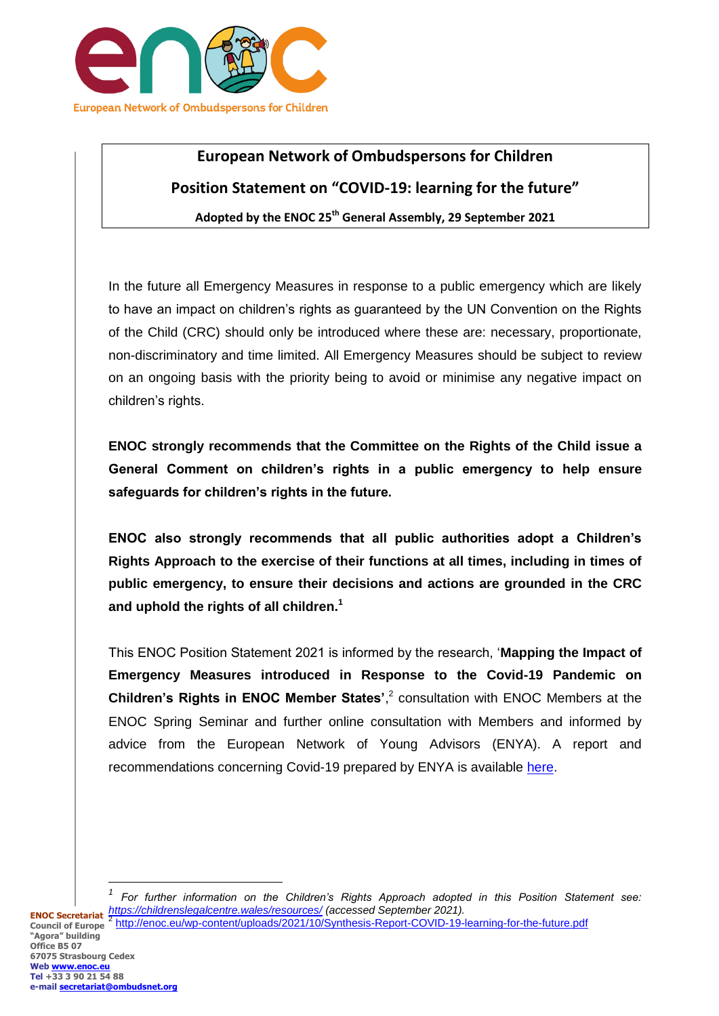

# **European Network of Ombudspersons for Children Position Statement on "COVID-19: learning for the future" Adopted by the ENOC 25 th General Assembly, 29 September 2021**

In the future all Emergency Measures in response to a public emergency which are likely to have an impact on children's rights as guaranteed by the UN Convention on the Rights of the Child (CRC) should only be introduced where these are: necessary, proportionate, non-discriminatory and time limited. All Emergency Measures should be subject to review on an ongoing basis with the priority being to avoid or minimise any negative impact on children's rights.

**ENOC strongly recommends that the Committee on the Rights of the Child issue a General Comment on children's rights in a public emergency to help ensure safeguards for children's rights in the future.** 

**ENOC also strongly recommends that all public authorities adopt a Children's Rights Approach to the exercise of their functions at all times, including in times of public emergency, to ensure their decisions and actions are grounded in the CRC and uphold the rights of all children.<sup>1</sup>**

This ENOC Position Statement 2021 is informed by the research, '**Mapping the Impact of Emergency Measures introduced in Response to the Covid-19 Pandemic on Children's Rights in ENOC Member States',<sup>2</sup> consultation with ENOC Members at the** ENOC Spring Seminar and further online consultation with Members and informed by advice from the European Network of Young Advisors (ENYA). A report and recommendations concerning Covid-19 prepared by ENYA is available [here.](http://enoc.eu/wp-content/uploads/2021/10/ENYA-Report-2021-COVID-19-learning-for-the-future.pdf)

**ENOC Secretariat** *<https://childrenslegalcentre.wales/resources/> (accessed September 2021).*  2 **Council of Europe "Agora" building Office B5 07 67075 Strasbourg Cedex Web [www.enoc.eu](http://www.enoc.eu/) Tel +33 3 90 21 54 88** *1 For further information on the Children's Rights Approach adopted in this Position Statement see:*  <http://enoc.eu/wp-content/uploads/2021/10/Synthesis-Report-COVID-19-learning-for-the-future.pdf>

**e-mail [secretariat@ombudsnet.org](mailto:secretariat@ombudsnet.org)**

 $\overline{a}$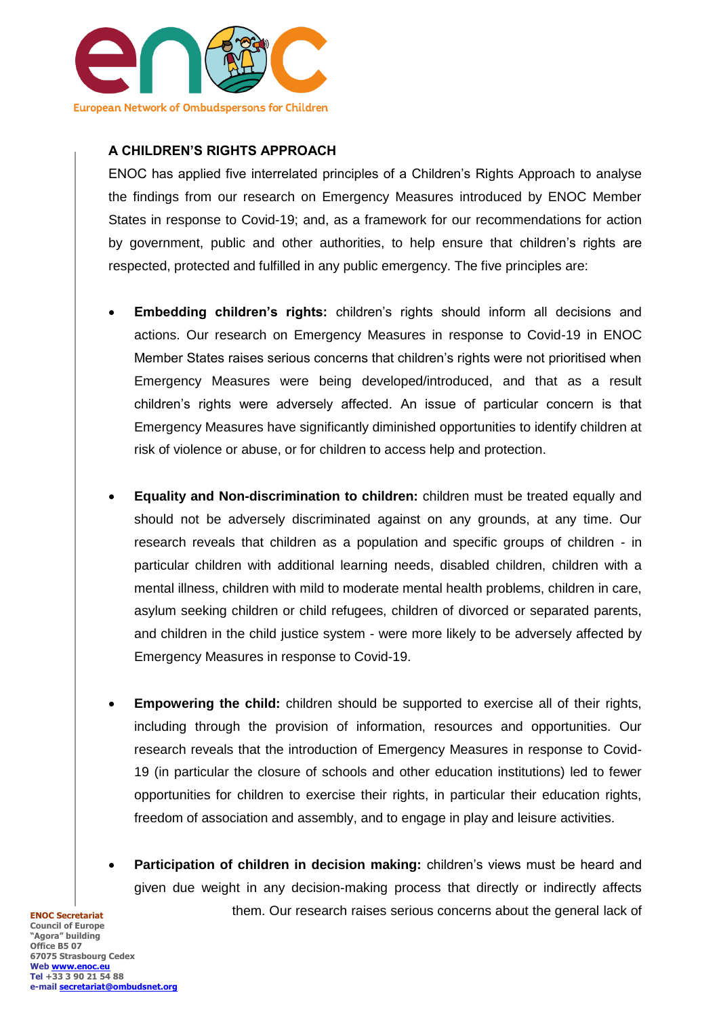

## **A CHILDREN'S RIGHTS APPROACH**

ENOC has applied five interrelated principles of a Children's Rights Approach to analyse the findings from our research on Emergency Measures introduced by ENOC Member States in response to Covid-19; and, as a framework for our recommendations for action by government, public and other authorities, to help ensure that children's rights are respected, protected and fulfilled in any public emergency. The five principles are:

- **Embedding children's rights:** children's rights should inform all decisions and actions. Our research on Emergency Measures in response to Covid-19 in ENOC Member States raises serious concerns that children's rights were not prioritised when Emergency Measures were being developed/introduced, and that as a result children's rights were adversely affected. An issue of particular concern is that Emergency Measures have significantly diminished opportunities to identify children at risk of violence or abuse, or for children to access help and protection.
- **Equality and Non-discrimination to children:** children must be treated equally and should not be adversely discriminated against on any grounds, at any time. Our research reveals that children as a population and specific groups of children - in particular children with additional learning needs, disabled children, children with a mental illness, children with mild to moderate mental health problems, children in care, asylum seeking children or child refugees, children of divorced or separated parents, and children in the child justice system - were more likely to be adversely affected by Emergency Measures in response to Covid-19.
- **Empowering the child:** children should be supported to exercise all of their rights, including through the provision of information, resources and opportunities. Our research reveals that the introduction of Emergency Measures in response to Covid-19 (in particular the closure of schools and other education institutions) led to fewer opportunities for children to exercise their rights, in particular their education rights, freedom of association and assembly, and to engage in play and leisure activities.
- **Participation of children in decision making:** children's views must be heard and given due weight in any decision-making process that directly or indirectly affects them. Our research raises serious concerns about the general lack of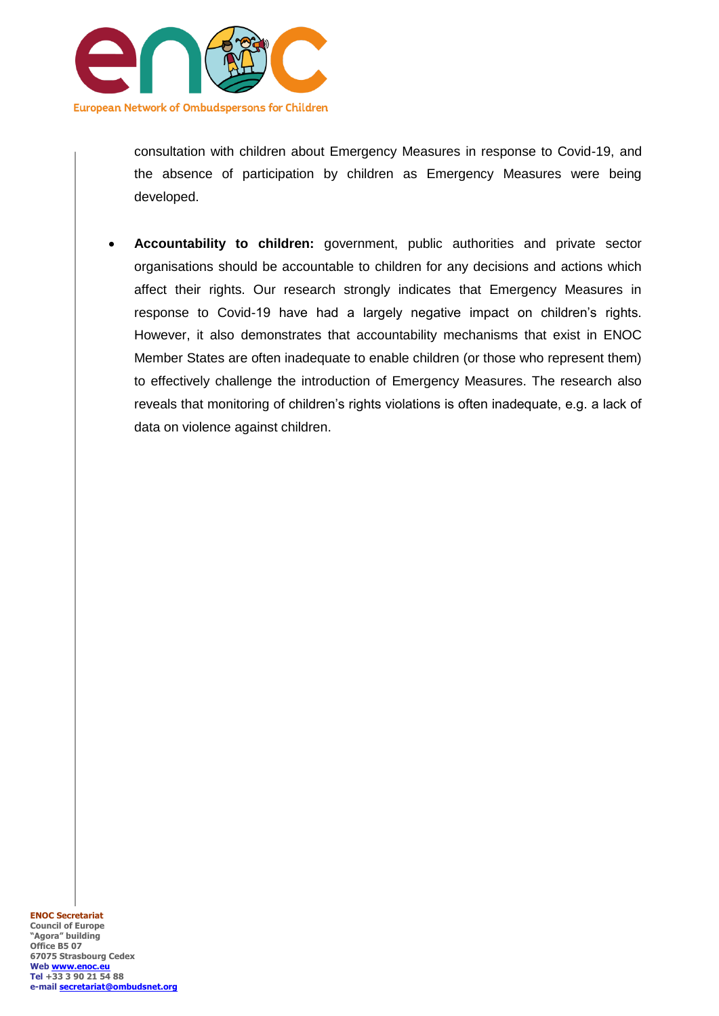

consultation with children about Emergency Measures in response to Covid-19, and the absence of participation by children as Emergency Measures were being developed.

 **Accountability to children:** government, public authorities and private sector organisations should be accountable to children for any decisions and actions which affect their rights. Our research strongly indicates that Emergency Measures in response to Covid-19 have had a largely negative impact on children's rights. However, it also demonstrates that accountability mechanisms that exist in ENOC Member States are often inadequate to enable children (or those who represent them) to effectively challenge the introduction of Emergency Measures. The research also reveals that monitoring of children's rights violations is often inadequate, e.g. a lack of data on violence against children.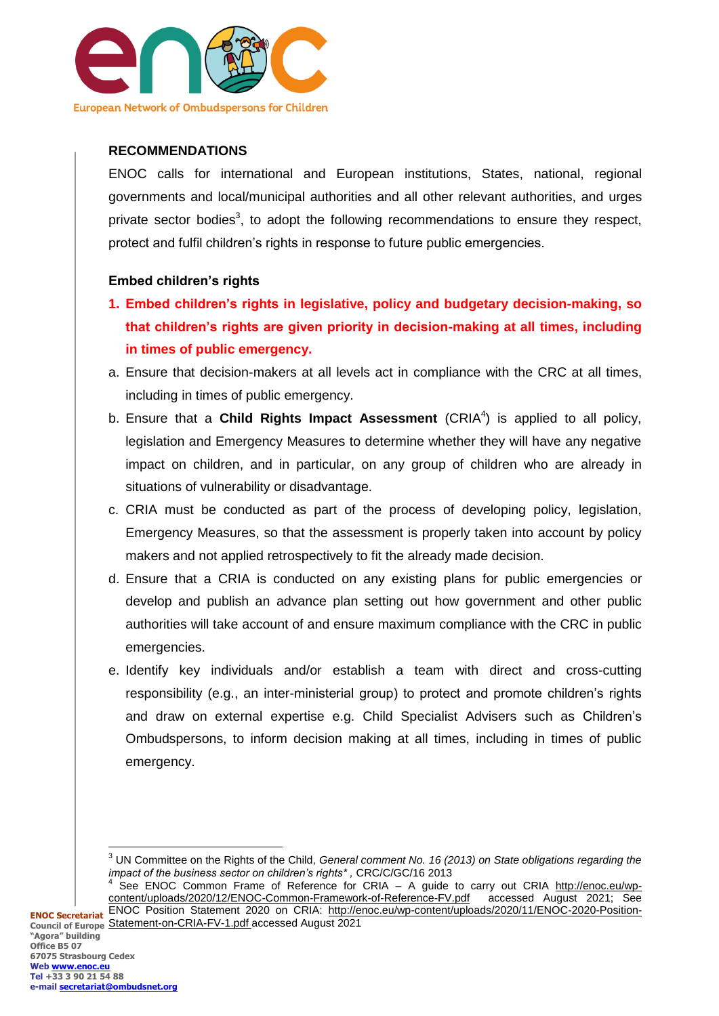

#### **RECOMMENDATIONS**

ENOC calls for international and European institutions, States, national, regional governments and local/municipal authorities and all other relevant authorities, and urges private sector bodies<sup>3</sup>, to adopt the following recommendations to ensure they respect, protect and fulfil children's rights in response to future public emergencies.

#### **Embed children's rights**

- **1. Embed children's rights in legislative, policy and budgetary decision-making, so that children's rights are given priority in decision-making at all times, including in times of public emergency.**
- a. Ensure that decision-makers at all levels act in compliance with the CRC at all times, including in times of public emergency.
- b. Ensure that a **Child Rights Impact Assessment** (CRIA<sup>4</sup>) is applied to all policy, legislation and Emergency Measures to determine whether they will have any negative impact on children, and in particular, on any group of children who are already in situations of vulnerability or disadvantage.
- c. CRIA must be conducted as part of the process of developing policy, legislation, Emergency Measures, so that the assessment is properly taken into account by policy makers and not applied retrospectively to fit the already made decision.
- d. Ensure that a CRIA is conducted on any existing plans for public emergencies or develop and publish an advance plan setting out how government and other public authorities will take account of and ensure maximum compliance with the CRC in public emergencies.
- e. Identify key individuals and/or establish a team with direct and cross-cutting responsibility (e.g., an inter-ministerial group) to protect and promote children's rights and draw on external expertise e.g. Child Specialist Advisers such as Children's Ombudspersons, to inform decision making at all times, including in times of public emergency.

 $\overline{\phantom{a}}$ <sup>3</sup> UN Committee on the Rights of the Child, *General comment No. 16 (2013) on State obligations regarding the impact of the business sector on children's rights\*, CRC/C/GC/16 2013* 

**ENOC Secretariat Council of Europe**  [Statement-on-CRIA-FV-1.pdf](http://enoc.eu/wp-content/uploads/2020/11/ENOC-2020-Position-Statement-on-CRIA-FV-1.pdf) accessed August 20214 See ENOC Common Frame of Reference for CRIA – A guide to carry out CRIA [http://enoc.eu/wp](http://enoc.eu/wp-content/uploads/2020/12/ENOC-Common-Framework-of-Reference-FV.pdf)[content/uploads/2020/12/ENOC-Common-Framework-of-Reference-FV.pdf](http://enoc.eu/wp-content/uploads/2020/12/ENOC-Common-Framework-of-Reference-FV.pdf) accessed August 2021; See ENOC Position Statement 2020 on CRIA: [http://enoc.eu/wp-content/uploads/2020/11/ENOC-2020-Position-](http://enoc.eu/wp-content/uploads/2020/11/ENOC-2020-Position-Statement-on-CRIA-FV-1.pdf)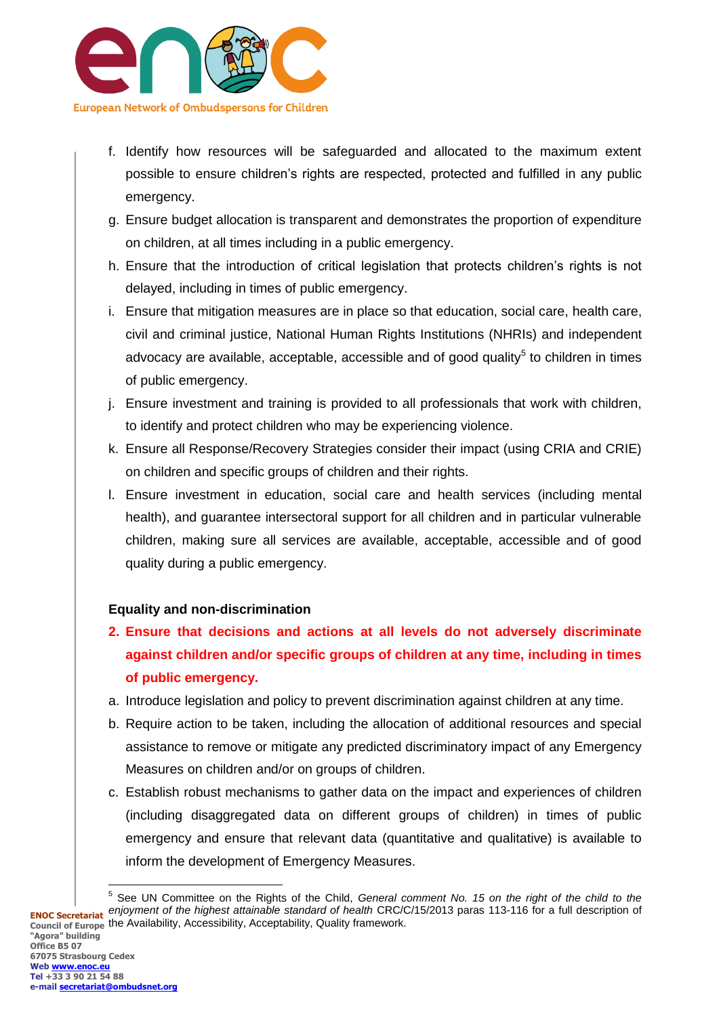

- f. Identify how resources will be safeguarded and allocated to the maximum extent possible to ensure children's rights are respected, protected and fulfilled in any public emergency.
- g. Ensure budget allocation is transparent and demonstrates the proportion of expenditure on children, at all times including in a public emergency.
- h. Ensure that the introduction of critical legislation that protects children's rights is not delayed, including in times of public emergency.
- i. Ensure that mitigation measures are in place so that education, social care, health care, civil and criminal justice, National Human Rights Institutions (NHRIs) and independent advocacy are available, acceptable, accessible and of good quality<sup>5</sup> to children in times of public emergency.
- j. Ensure investment and training is provided to all professionals that work with children, to identify and protect children who may be experiencing violence.
- k. Ensure all Response/Recovery Strategies consider their impact (using CRIA and CRIE) on children and specific groups of children and their rights.
- l. Ensure investment in education, social care and health services (including mental health), and guarantee intersectoral support for all children and in particular vulnerable children, making sure all services are available, acceptable, accessible and of good quality during a public emergency.

## **Equality and non-discrimination**

- **2. Ensure that decisions and actions at all levels do not adversely discriminate against children and/or specific groups of children at any time, including in times of public emergency.**
- a. Introduce legislation and policy to prevent discrimination against children at any time.
- b. Require action to be taken, including the allocation of additional resources and special assistance to remove or mitigate any predicted discriminatory impact of any Emergency Measures on children and/or on groups of children.
- c. Establish robust mechanisms to gather data on the impact and experiences of children (including disaggregated data on different groups of children) in times of public emergency and ensure that relevant data (quantitative and qualitative) is available to inform the development of Emergency Measures.

**ENOC Secretariat Council of Europe the Availability, Accessibility, Acceptability, Quality framework.**  $\overline{a}$ 5 See UN Committee on the Rights of the Child, *General comment No. 15 on the right of the child to the enjoyment of the highest attainable standard of health* CRC/C/15/2013 paras 113-116 for a full description of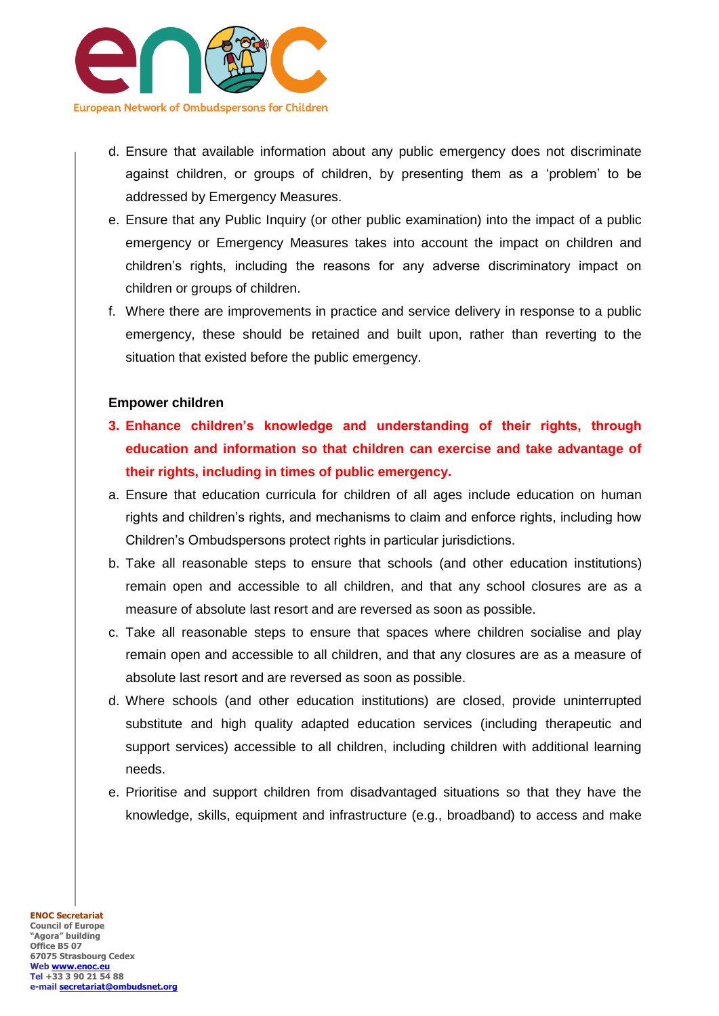

- d. Ensure that available information about any public emergency does not discriminate against children, or groups of children, by presenting them as a 'problem' to be addressed by Emergency Measures.
- e. Ensure that any Public Inquiry (or other public examination) into the impact of a public emergency or Emergency Measures takes into account the impact on children and children's rights, including the reasons for any adverse discriminatory impact on children or groups of children.
- f. Where there are improvements in practice and service delivery in response to a public emergency, these should be retained and built upon, rather than reverting to the situation that existed before the public emergency.

#### **Empower children**

- **3. Enhance children's knowledge and understanding of their rights, through education and information so that children can exercise and take advantage of their rights, including in times of public emergency.**
- a. Ensure that education curricula for children of all ages include education on human rights and children's rights, and mechanisms to claim and enforce rights, including how Children's Ombudspersons protect rights in particular jurisdictions.
- b. Take all reasonable steps to ensure that schools (and other education institutions) remain open and accessible to all children, and that any school closures are as a measure of absolute last resort and are reversed as soon as possible.
- c. Take all reasonable steps to ensure that spaces where children socialise and play remain open and accessible to all children, and that any closures are as a measure of absolute last resort and are reversed as soon as possible.
- d. Where schools (and other education institutions) are closed, provide uninterrupted substitute and high quality adapted education services (including therapeutic and support services) accessible to all children, including children with additional learning needs.
- e. Prioritise and support children from disadvantaged situations so that they have the knowledge, skills, equipment and infrastructure (e.g., broadband) to access and make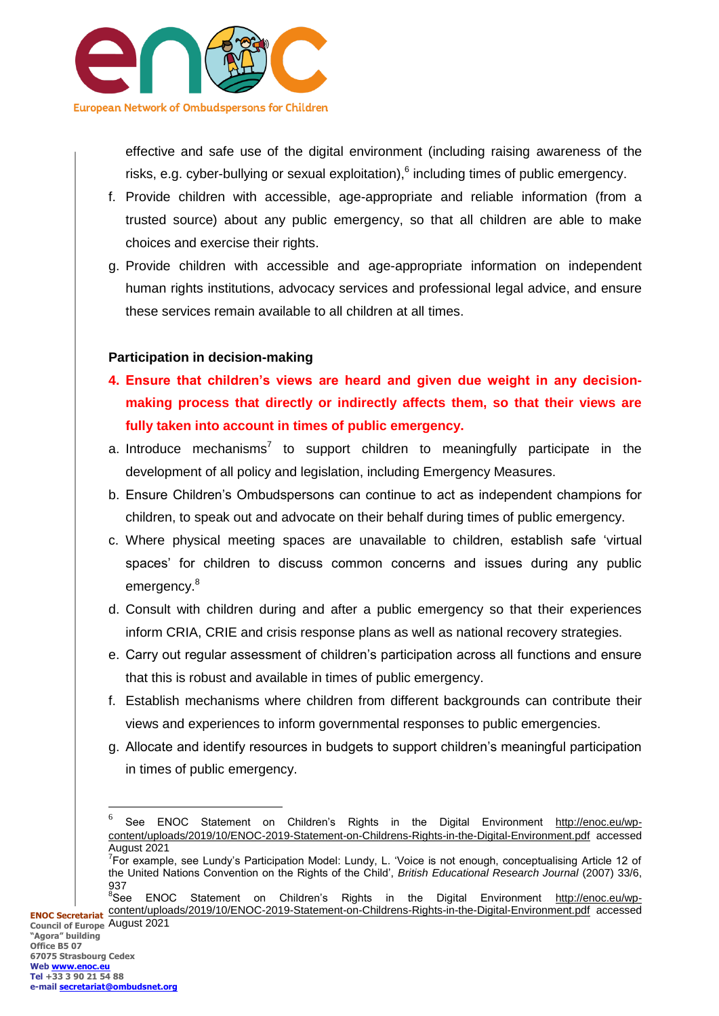

effective and safe use of the digital environment (including raising awareness of the risks, e.g. cyber-bullying or sexual exploitation), $6$  including times of public emergency.

- f. Provide children with accessible, age-appropriate and reliable information (from a trusted source) about any public emergency, so that all children are able to make choices and exercise their rights.
- g. Provide children with accessible and age-appropriate information on independent human rights institutions, advocacy services and professional legal advice, and ensure these services remain available to all children at all times.

#### **Participation in decision-making**

- **4. Ensure that children's views are heard and given due weight in any decisionmaking process that directly or indirectly affects them, so that their views are fully taken into account in times of public emergency.**
- a. Introduce mechanisms<sup>7</sup> to support children to meaningfully participate in the development of all policy and legislation, including Emergency Measures.
- b. Ensure Children's Ombudspersons can continue to act as independent champions for children, to speak out and advocate on their behalf during times of public emergency.
- c. Where physical meeting spaces are unavailable to children, establish safe 'virtual spaces' for children to discuss common concerns and issues during any public emergency.<sup>8</sup>
- d. Consult with children during and after a public emergency so that their experiences inform CRIA, CRIE and crisis response plans as well as national recovery strategies.
- e. Carry out regular assessment of children's participation across all functions and ensure that this is robust and available in times of public emergency.
- f. Establish mechanisms where children from different backgrounds can contribute their views and experiences to inform governmental responses to public emergencies.
- g. Allocate and identify resources in budgets to support children's meaningful participation in times of public emergency.

 $\overline{a}$ 

<sup>6</sup> See ENOC Statement on Children's Rights in the Digital Environment [http://enoc.eu/wp](http://enoc.eu/wp-content/uploads/2019/10/ENOC-2019-Statement-on-Childrens-Rights-in-the-Digital-Environment.pdf)[content/uploads/2019/10/ENOC-2019-Statement-on-Childrens-Rights-in-the-Digital-Environment.pdf](http://enoc.eu/wp-content/uploads/2019/10/ENOC-2019-Statement-on-Childrens-Rights-in-the-Digital-Environment.pdf) accessed

August 2021<br><sup>7</sup>For example, see Lundy's Participation Model: Lundy, L. 'Voice is not enough, conceptualising Article 12 of the United Nations Convention on the Rights of the Child', *British Educational Research Journal* (2007) 33/6, 937

ENOC Secretariat [content/uploads/2019/10/ENOC-2019-Statement-on-Childrens-Rights-in-the-Digital-Environment.pdf](http://enoc.eu/wp-content/uploads/2019/10/ENOC-2019-Statement-on-Childrens-Rights-in-the-Digital-Environment.pdf) accessed <sup>8</sup>See ENOC Statement on Children's Rights in the Digital Environment [http://enoc.eu/wp-](http://enoc.eu/wp-content/uploads/2019/10/ENOC-2019-Statement-on-Childrens-Rights-in-the-Digital-Environment.pdf)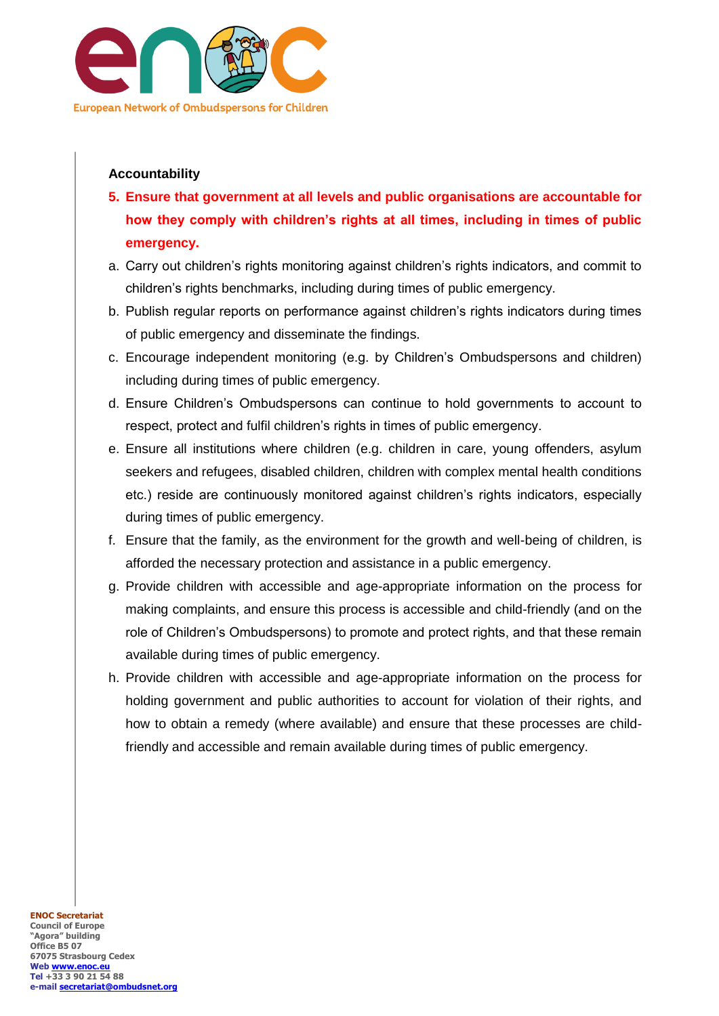

# **Accountability**

- **5. Ensure that government at all levels and public organisations are accountable for how they comply with children's rights at all times, including in times of public emergency.**
- a. Carry out children's rights monitoring against children's rights indicators, and commit to children's rights benchmarks, including during times of public emergency.
- b. Publish regular reports on performance against children's rights indicators during times of public emergency and disseminate the findings.
- c. Encourage independent monitoring (e.g. by Children's Ombudspersons and children) including during times of public emergency.
- d. Ensure Children's Ombudspersons can continue to hold governments to account to respect, protect and fulfil children's rights in times of public emergency.
- e. Ensure all institutions where children (e.g. children in care, young offenders, asylum seekers and refugees, disabled children, children with complex mental health conditions etc.) reside are continuously monitored against children's rights indicators, especially during times of public emergency.
- f. Ensure that the family, as the environment for the growth and well-being of children, is afforded the necessary protection and assistance in a public emergency.
- g. Provide children with accessible and age-appropriate information on the process for making complaints, and ensure this process is accessible and child-friendly (and on the role of Children's Ombudspersons) to promote and protect rights, and that these remain available during times of public emergency.
- h. Provide children with accessible and age-appropriate information on the process for holding government and public authorities to account for violation of their rights, and how to obtain a remedy (where available) and ensure that these processes are childfriendly and accessible and remain available during times of public emergency.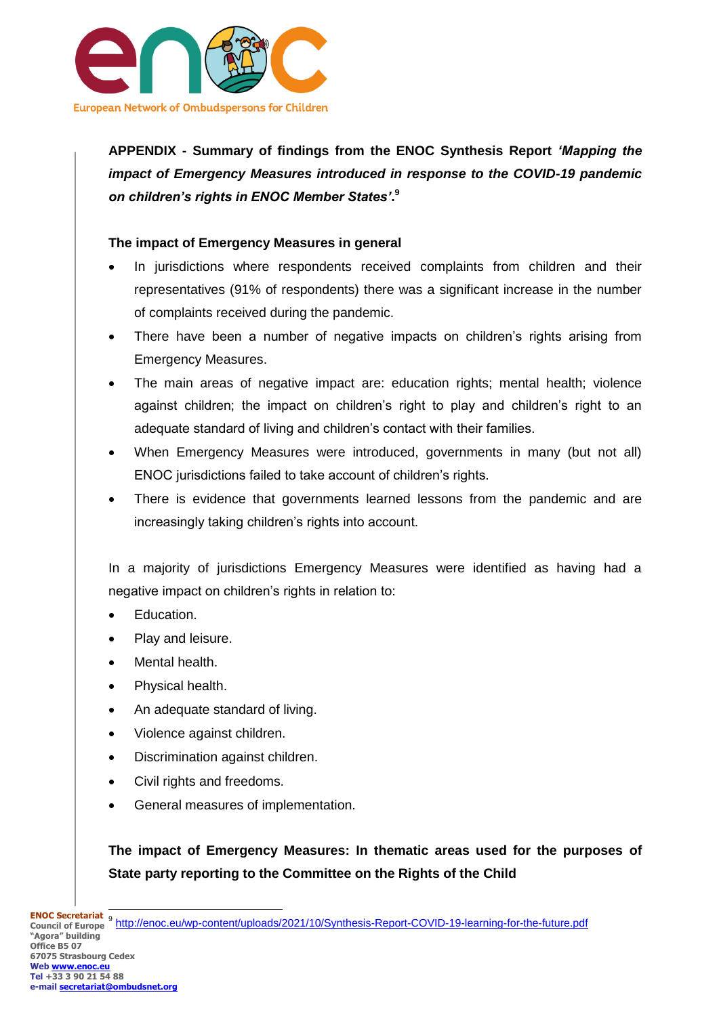

**APPENDIX - Summary of findings from the ENOC Synthesis Report** *'Mapping the impact of Emergency Measures introduced in response to the COVID-19 pandemic on children's rights in ENOC Member States'***. 9**

# **The impact of Emergency Measures in general**

- In jurisdictions where respondents received complaints from children and their representatives (91% of respondents) there was a significant increase in the number of complaints received during the pandemic.
- There have been a number of negative impacts on children's rights arising from Emergency Measures.
- The main areas of negative impact are: education rights; mental health; violence against children; the impact on children's right to play and children's right to an adequate standard of living and children's contact with their families.
- When Emergency Measures were introduced, governments in many (but not all) ENOC jurisdictions failed to take account of children's rights.
- There is evidence that governments learned lessons from the pandemic and are increasingly taking children's rights into account.

In a majority of jurisdictions Emergency Measures were identified as having had a negative impact on children's rights in relation to:

- Education.
- Play and leisure.
- Mental health.
- Physical health.
- An adequate standard of living.
- Violence against children.
- Discrimination against children.
- Civil rights and freedoms.
- General measures of implementation.

**The impact of Emergency Measures: In thematic areas used for the purposes of State party reporting to the Committee on the Rights of the Child**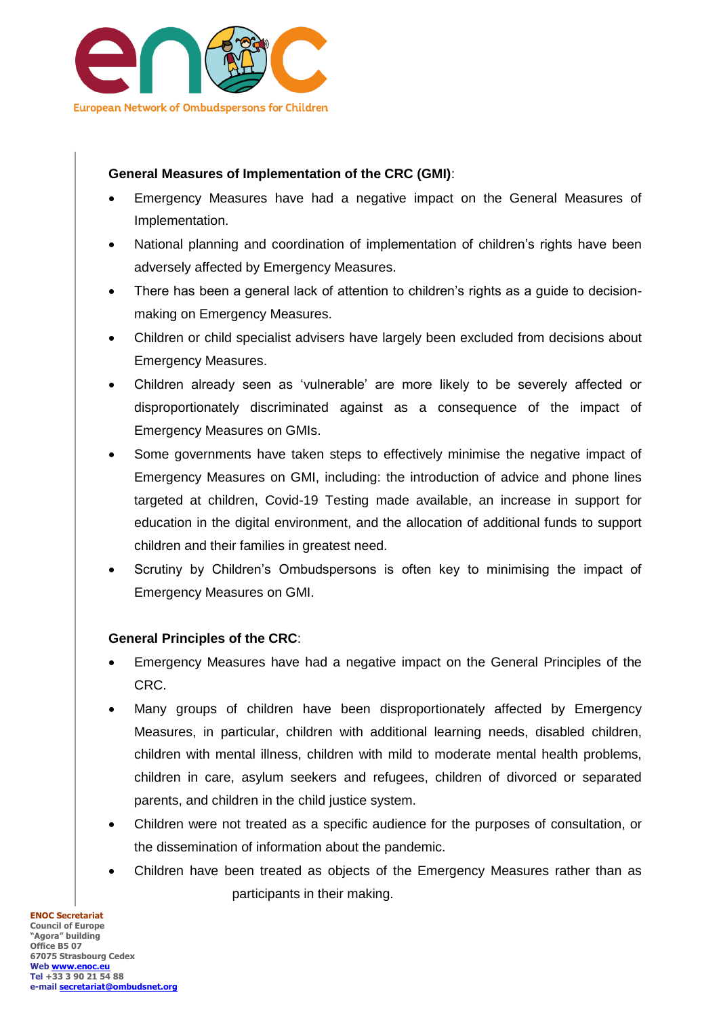

## **General Measures of Implementation of the CRC (GMI)**:

- Emergency Measures have had a negative impact on the General Measures of Implementation.
- National planning and coordination of implementation of children's rights have been adversely affected by Emergency Measures.
- There has been a general lack of attention to children's rights as a guide to decisionmaking on Emergency Measures.
- Children or child specialist advisers have largely been excluded from decisions about Emergency Measures.
- Children already seen as 'vulnerable' are more likely to be severely affected or disproportionately discriminated against as a consequence of the impact of Emergency Measures on GMIs.
- Some governments have taken steps to effectively minimise the negative impact of Emergency Measures on GMI, including: the introduction of advice and phone lines targeted at children, Covid-19 Testing made available, an increase in support for education in the digital environment, and the allocation of additional funds to support children and their families in greatest need.
- Scrutiny by Children's Ombudspersons is often key to minimising the impact of Emergency Measures on GMI.

## **General Principles of the CRC**:

- Emergency Measures have had a negative impact on the General Principles of the CRC.
- Many groups of children have been disproportionately affected by Emergency Measures, in particular, children with additional learning needs, disabled children, children with mental illness, children with mild to moderate mental health problems, children in care, asylum seekers and refugees, children of divorced or separated parents, and children in the child justice system.
- Children were not treated as a specific audience for the purposes of consultation, or the dissemination of information about the pandemic.
- Children have been treated as objects of the Emergency Measures rather than as participants in their making.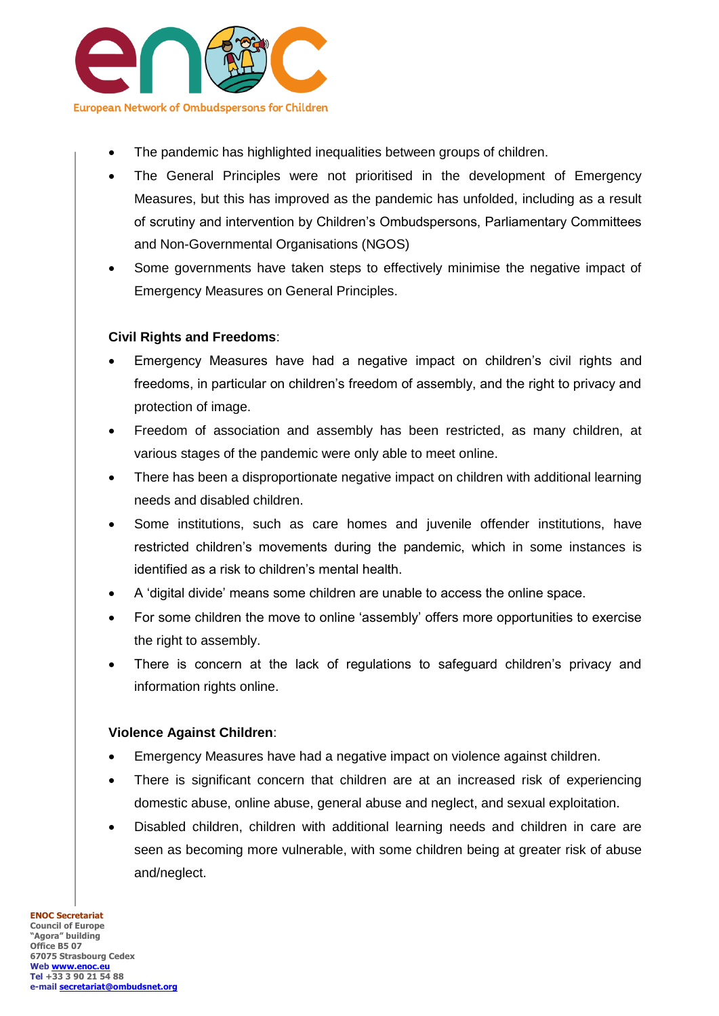

- The pandemic has highlighted inequalities between groups of children.
- The General Principles were not prioritised in the development of Emergency Measures, but this has improved as the pandemic has unfolded, including as a result of scrutiny and intervention by Children's Ombudspersons, Parliamentary Committees and Non-Governmental Organisations (NGOS)
- Some governments have taken steps to effectively minimise the negative impact of Emergency Measures on General Principles.

#### **Civil Rights and Freedoms**:

- Emergency Measures have had a negative impact on children's civil rights and freedoms, in particular on children's freedom of assembly, and the right to privacy and protection of image.
- Freedom of association and assembly has been restricted, as many children, at various stages of the pandemic were only able to meet online.
- There has been a disproportionate negative impact on children with additional learning needs and disabled children.
- Some institutions, such as care homes and juvenile offender institutions, have restricted children's movements during the pandemic, which in some instances is identified as a risk to children's mental health.
- A 'digital divide' means some children are unable to access the online space.
- For some children the move to online 'assembly' offers more opportunities to exercise the right to assembly.
- There is concern at the lack of regulations to safeguard children's privacy and information rights online.

#### **Violence Against Children**:

- Emergency Measures have had a negative impact on violence against children.
- There is significant concern that children are at an increased risk of experiencing domestic abuse, online abuse, general abuse and neglect, and sexual exploitation.
- Disabled children, children with additional learning needs and children in care are seen as becoming more vulnerable, with some children being at greater risk of abuse and/neglect.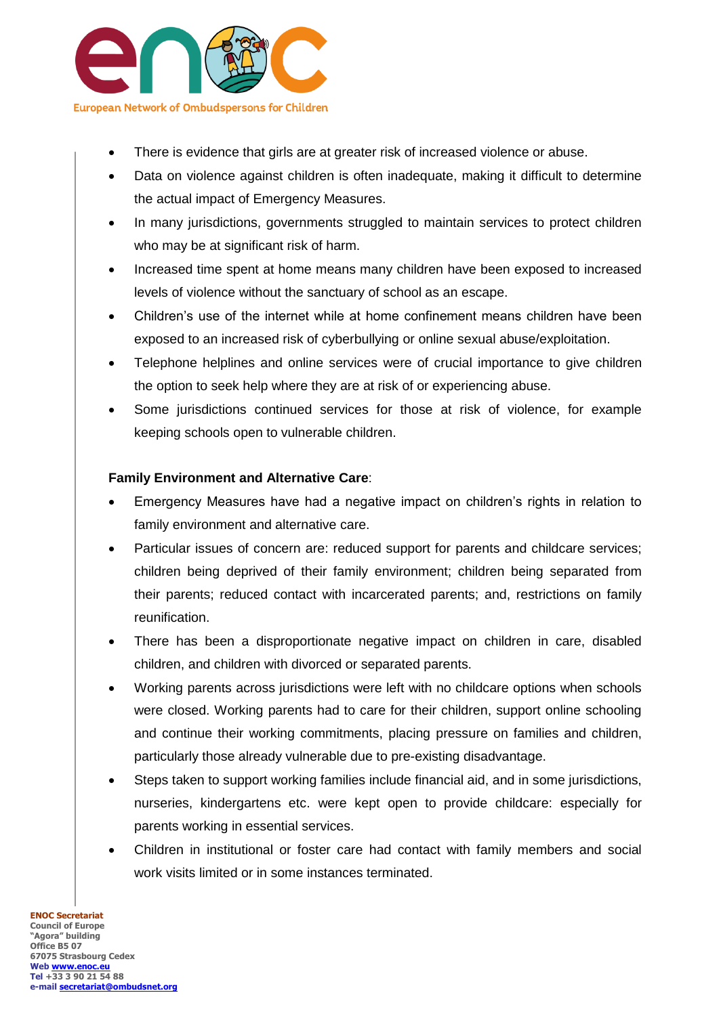

- There is evidence that girls are at greater risk of increased violence or abuse.
- Data on violence against children is often inadequate, making it difficult to determine the actual impact of Emergency Measures.
- In many jurisdictions, governments struggled to maintain services to protect children who may be at significant risk of harm.
- Increased time spent at home means many children have been exposed to increased levels of violence without the sanctuary of school as an escape.
- Children's use of the internet while at home confinement means children have been exposed to an increased risk of cyberbullying or online sexual abuse/exploitation.
- Telephone helplines and online services were of crucial importance to give children the option to seek help where they are at risk of or experiencing abuse.
- Some jurisdictions continued services for those at risk of violence, for example keeping schools open to vulnerable children.

## **Family Environment and Alternative Care**:

- Emergency Measures have had a negative impact on children's rights in relation to family environment and alternative care.
- Particular issues of concern are: reduced support for parents and childcare services; children being deprived of their family environment; children being separated from their parents; reduced contact with incarcerated parents; and, restrictions on family reunification.
- There has been a disproportionate negative impact on children in care, disabled children, and children with divorced or separated parents.
- Working parents across jurisdictions were left with no childcare options when schools were closed. Working parents had to care for their children, support online schooling and continue their working commitments, placing pressure on families and children, particularly those already vulnerable due to pre-existing disadvantage.
- Steps taken to support working families include financial aid, and in some jurisdictions, nurseries, kindergartens etc. were kept open to provide childcare: especially for parents working in essential services.
- Children in institutional or foster care had contact with family members and social work visits limited or in some instances terminated.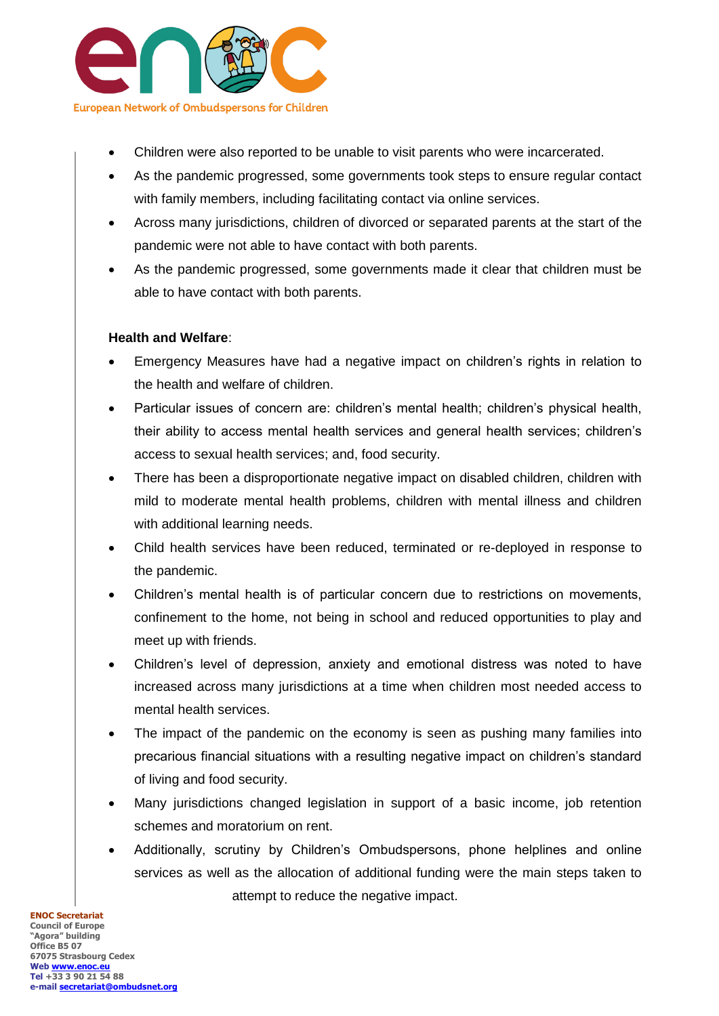

- Children were also reported to be unable to visit parents who were incarcerated.
- As the pandemic progressed, some governments took steps to ensure regular contact with family members, including facilitating contact via online services.
- Across many jurisdictions, children of divorced or separated parents at the start of the pandemic were not able to have contact with both parents.
- As the pandemic progressed, some governments made it clear that children must be able to have contact with both parents.

#### **Health and Welfare**:

- Emergency Measures have had a negative impact on children's rights in relation to the health and welfare of children.
- Particular issues of concern are: children's mental health; children's physical health, their ability to access mental health services and general health services; children's access to sexual health services; and, food security.
- There has been a disproportionate negative impact on disabled children, children with mild to moderate mental health problems, children with mental illness and children with additional learning needs.
- Child health services have been reduced, terminated or re-deployed in response to the pandemic.
- Children's mental health is of particular concern due to restrictions on movements, confinement to the home, not being in school and reduced opportunities to play and meet up with friends.
- Children's level of depression, anxiety and emotional distress was noted to have increased across many jurisdictions at a time when children most needed access to mental health services.
- The impact of the pandemic on the economy is seen as pushing many families into precarious financial situations with a resulting negative impact on children's standard of living and food security.
- Many jurisdictions changed legislation in support of a basic income, job retention schemes and moratorium on rent.
- Additionally, scrutiny by Children's Ombudspersons, phone helplines and online services as well as the allocation of additional funding were the main steps taken to attempt to reduce the negative impact.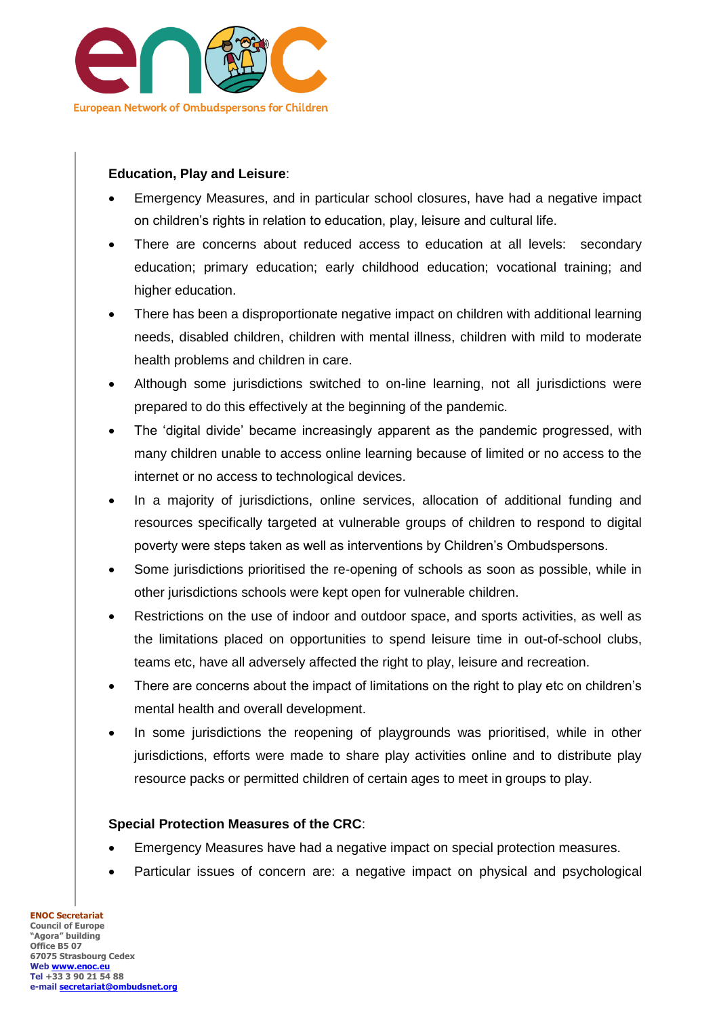

## **Education, Play and Leisure**:

- Emergency Measures, and in particular school closures, have had a negative impact on children's rights in relation to education, play, leisure and cultural life.
- There are concerns about reduced access to education at all levels: secondary education; primary education; early childhood education; vocational training; and higher education.
- There has been a disproportionate negative impact on children with additional learning needs, disabled children, children with mental illness, children with mild to moderate health problems and children in care.
- Although some jurisdictions switched to on-line learning, not all jurisdictions were prepared to do this effectively at the beginning of the pandemic.
- The 'digital divide' became increasingly apparent as the pandemic progressed, with many children unable to access online learning because of limited or no access to the internet or no access to technological devices.
- In a majority of jurisdictions, online services, allocation of additional funding and resources specifically targeted at vulnerable groups of children to respond to digital poverty were steps taken as well as interventions by Children's Ombudspersons.
- Some jurisdictions prioritised the re-opening of schools as soon as possible, while in other jurisdictions schools were kept open for vulnerable children.
- Restrictions on the use of indoor and outdoor space, and sports activities, as well as the limitations placed on opportunities to spend leisure time in out-of-school clubs, teams etc, have all adversely affected the right to play, leisure and recreation.
- There are concerns about the impact of limitations on the right to play etc on children's mental health and overall development.
- In some jurisdictions the reopening of playgrounds was prioritised, while in other jurisdictions, efforts were made to share play activities online and to distribute play resource packs or permitted children of certain ages to meet in groups to play.

#### **Special Protection Measures of the CRC**:

- Emergency Measures have had a negative impact on special protection measures.
- Particular issues of concern are: a negative impact on physical and psychological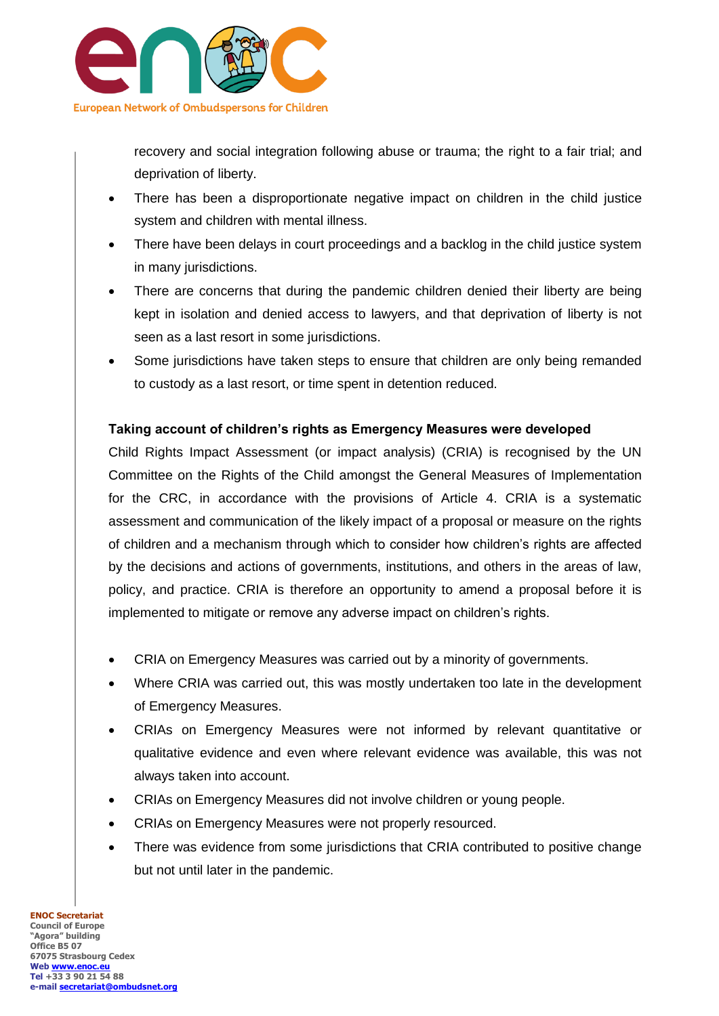

recovery and social integration following abuse or trauma; the right to a fair trial; and deprivation of liberty.

- There has been a disproportionate negative impact on children in the child justice system and children with mental illness.
- There have been delays in court proceedings and a backlog in the child justice system in many jurisdictions.
- There are concerns that during the pandemic children denied their liberty are being kept in isolation and denied access to lawyers, and that deprivation of liberty is not seen as a last resort in some jurisdictions.
- Some jurisdictions have taken steps to ensure that children are only being remanded to custody as a last resort, or time spent in detention reduced.

## **Taking account of children's rights as Emergency Measures were developed**

Child Rights Impact Assessment (or impact analysis) (CRIA) is recognised by the UN Committee on the Rights of the Child amongst the General Measures of Implementation for the CRC, in accordance with the provisions of Article 4. CRIA is a systematic assessment and communication of the likely impact of a proposal or measure on the rights of children and a mechanism through which to consider how children's rights are affected by the decisions and actions of governments, institutions, and others in the areas of law, policy, and practice. CRIA is therefore an opportunity to amend a proposal before it is implemented to mitigate or remove any adverse impact on children's rights.

- CRIA on Emergency Measures was carried out by a minority of governments.
- Where CRIA was carried out, this was mostly undertaken too late in the development of Emergency Measures.
- CRIAs on Emergency Measures were not informed by relevant quantitative or qualitative evidence and even where relevant evidence was available, this was not always taken into account.
- CRIAs on Emergency Measures did not involve children or young people.
- CRIAs on Emergency Measures were not properly resourced.
- There was evidence from some jurisdictions that CRIA contributed to positive change but not until later in the pandemic.